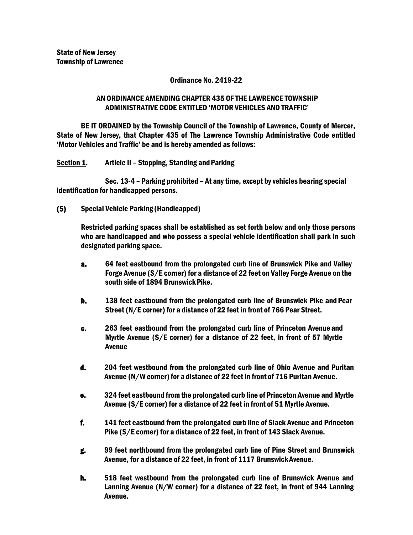### Ordinance No. 2419-22

# AN ORDINANCE AMENDING CHAPTER 435 OF THE LAWRENCE TOWNSHIP ADMINISTRATIVE CODE ENTITLED 'MOTOR VEHICLES AND TRAFFIC'

BE IT ORDAINED by the Township Council of the Township of Lawrence, County of Mercer, State of New Jersey, that Chapter 435 of The Lawrence Township Administrative Code entitled 'Motor Vehicles and Traffic' be and is hereby amended as follows:

Section 1. Article II - Stopping, Standing and Parking

Sec. 13-4 – Parking prohibited – At any time, except by vehicles bearing special identification for handicapped persons.

(5) Special Vehicle Parking (Handicapped)

Restricted parking spaces shall be established as set forth below and only those persons who are handicapped and who possess a special vehicle identification shall park in such designated parking space.

- a. 64 feet eastbound from the prolongated curb line of Brunswick Pike and Valley Forge Avenue (S/E corner) for a distance of 22 feet on Valley Forge Avenue on the south side of 1894 Brunswick Pike.
- b. 138 feet eastbound from the prolongated curb line of Brunswick Pike and Pear Street (N/E corner) for a distance of 22 feet in front of 766 Pear Street.
- c. 263 feet eastbound from the prolongated curb line of Princeton Avenue and Myrtle Avenue (S/E corner) for a distance of 22 feet, in front of 57 Myrtle Avenue
- d. 204 feet westbound from the prolongated curb line of Ohio Avenue and Puritan Avenue (N/W corner) for a distance of 22 feet in front of 716 Puritan Avenue.
- e. 324 feet eastbound from the prolongated curb line of Princeton Avenue and Myrtle Avenue (S/E corner) for a distance of 22 feet in front of 51 Myrtle Avenue.
- f. 141 feet eastbound from the prolongated curb line of Slack Avenue and Princeton Pike (S/E corner) for a distance of 22 feet, in front of 143 Slack Avenue.
- g. 99 feet northbound from the prolongated curb line of Pine Street and Brunswick Avenue, for a distance of 22 feet, in front of 1117 BrunswickAvenue.
- h. 518 feet westbound from the prolongated curb line of Brunswick Avenue and Lanning Avenue (N/W corner) for a distance of 22 feet, in front of 944 Lanning Avenue.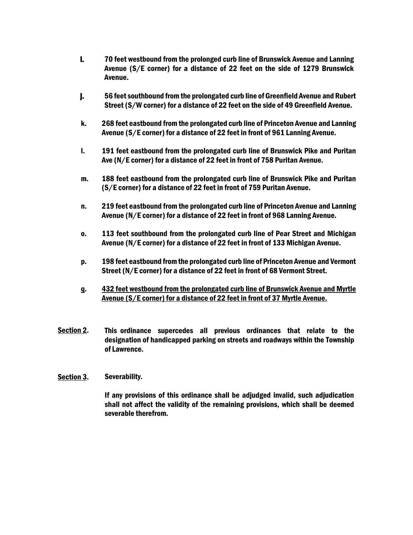- i. 70 feet westbound from the prolonged curb line of Brunswick Avenue and Lanning Avenue (S/E corner) for a distance of 22 feet on the side of 1279 Brunswick Avenue.
- j. 56 feet southbound from the prolongated curb line of Greenfield Avenue and Rubert Street (S/W corner) for a distance of 22 feet on the side of 49 Greenfield Avenue.
- k. 268 feet eastbound from the prolongated curb line of Princeton Avenue and Lanning Avenue (S/E corner) for a distance of 22 feet in front of 961 Lanning Avenue.
- l. 191 feet eastbound from the prolongated curb line of Brunswick Pike and Puritan Ave (N/E corner) for a distance of 22 feet in front of 758 Puritan Avenue.
- m. 188 feet eastbound from the prolongated curb line of Brunswick Pike and Puritan (S/E corner) for a distance of 22 feet in front of 759 Puritan Avenue.
- n. 219 feet eastbound from the prolongated curb line of Princeton Avenue and Lanning Avenue (N/E corner) for a distance of 22 feet in front of 968 Lanning Avenue.
- o. 113 feet southbound from the prolongated curb line of Pear Street and Michigan Avenue (N/E corner) for a distance of 22 feet in front of 133 Michigan Avenue.
- p. 198 feet eastbound from the prolongated curb line of Princeton Avenue and Vermont Street (N/E corner) for a distance of 22 feet in front of 68 Vermont Street.
- q. 432 feet westbound from the prolongated curb line of Brunswick Avenue and Myrtle Avenue (S/E corner) for a distance of 22 feet in front of 37 Myrtle Avenue.
- Section 2. This ordinance supercedes all previous ordinances that relate to the designation of handicapped parking on streets and roadways within the Township of Lawrence.

# Section 3. Severability.

If any provisions of this ordinance shall be adjudged invalid, such adjudication shall not affect the validity of the remaining provisions, which shall be deemed severable therefrom.